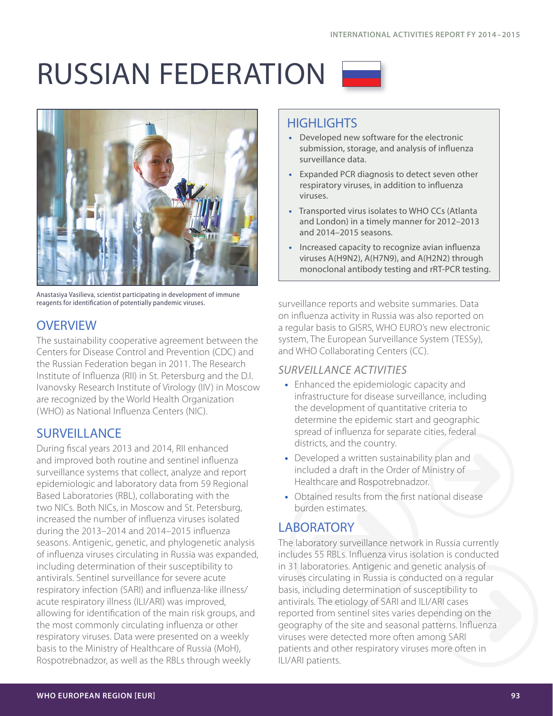# RUSSIAN FEDERATION



Anastasiya Vasilieva, scientist participating in development of immune reagents for identification of potentially pandemic viruses.

## **OVERVIEW**

The sustainability cooperative agreement between the Centers for Disease Control and Prevention (CDC) and the Russian Federation began in 2011. The Research Institute of Influenza (RII) in St. Petersburg and the D.I. Ivanovsky Research Institute of Virology (IIV) in Moscow are recognized by the World Health Organization (WHO) as National Influenza Centers (NIC).

## **SURVEILLANCE**

During fiscal years 2013 and 2014, RII enhanced and improved both routine and sentinel influenza surveillance systems that collect, analyze and report epidemiologic and laboratory data from 59 Regional Based Laboratories (RBL), collaborating with the two NICs. Both NICs, in Moscow and St. Petersburg, increased the number of influenza viruses isolated during the 2013–2014 and 2014–2015 influenza seasons. Antigenic, genetic, and phylogenetic analysis of influenza viruses circulating in Russia was expanded, including determination of their susceptibility to antivirals. Sentinel surveillance for severe acute respiratory infection (SARI) and influenza-like illness/ acute respiratory illness (ILI/ARI) was improved, allowing for identification of the main risk groups, and the most commonly circulating influenza or other respiratory viruses. Data were presented on a weekly basis to the Ministry of Healthcare of Russia (MoH), Rospotrebnadzor, as well as the RBLs through weekly

# **HIGHLIGHTS**

- **•** Developed new software for the electronic submission, storage, and analysis of influenza surveillance data.
- **•** Expanded PCR diagnosis to detect seven other respiratory viruses, in addition to influenza viruses.
- **•** Transported virus isolates to WHO CCs (Atlanta and London) in a timely manner for 2012–2013 and 2014–2015 seasons.
- **•** Increased capacity to recognize avian influenza viruses A(H9N2), A(H7N9), and A(H2N2) through monoclonal antibody testing and rRT-PCR testing.

surveillance reports and website summaries. Data on influenza activity in Russia was also reported on a regular basis to GISRS, WHO EURO's new electronic system, The European Surveillance System (TESSy), and WHO Collaborating Centers (CC).

#### *SURVEILLANCE ACTIVITIES*

- **•** Enhanced the epidemiologic capacity and infrastructure for disease surveillance, including the development of quantitative criteria to determine the epidemic start and geographic spread of influenza for separate cities, federal districts, and the country.
- **•** Developed a written sustainability plan and included a draft in the Order of Ministry of Healthcare and Rospotrebnadzor.
- **•** Obtained results from the first national disease burden estimates.

## **LABORATORY**

The laboratory surveillance network in Russia currently includes 55 RBLs. Influenza virus isolation is conducted in 31 laboratories. Antigenic and genetic analysis of viruses circulating in Russia is conducted on a regular basis, including determination of susceptibility to antivirals. The etiology of SARI and ILI/ARI cases reported from sentinel sites varies depending on the geography of the site and seasonal patterns. Influenza viruses were detected more often among SARI patients and other respiratory viruses more often in ILI/ARI patients.